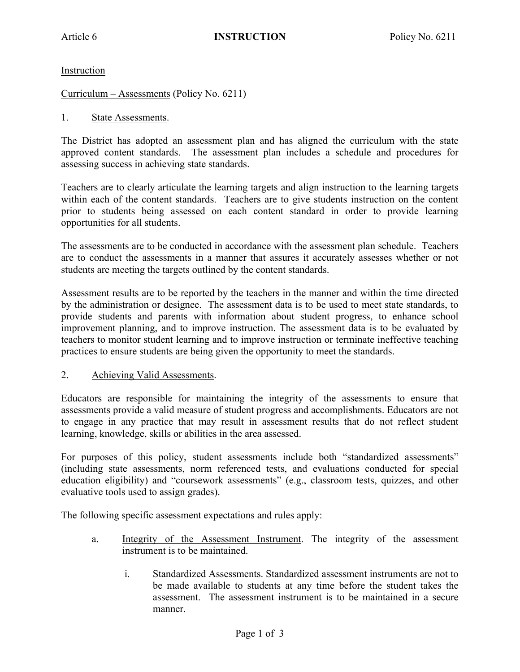Instruction

Curriculum – Assessments (Policy No. 6211)

## 1. State Assessments.

The District has adopted an assessment plan and has aligned the curriculum with the state approved content standards. The assessment plan includes a schedule and procedures for assessing success in achieving state standards.

Teachers are to clearly articulate the learning targets and align instruction to the learning targets within each of the content standards. Teachers are to give students instruction on the content prior to students being assessed on each content standard in order to provide learning opportunities for all students.

The assessments are to be conducted in accordance with the assessment plan schedule. Teachers are to conduct the assessments in a manner that assures it accurately assesses whether or not students are meeting the targets outlined by the content standards.

Assessment results are to be reported by the teachers in the manner and within the time directed by the administration or designee. The assessment data is to be used to meet state standards, to provide students and parents with information about student progress, to enhance school improvement planning, and to improve instruction. The assessment data is to be evaluated by teachers to monitor student learning and to improve instruction or terminate ineffective teaching practices to ensure students are being given the opportunity to meet the standards.

## 2. Achieving Valid Assessments.

Educators are responsible for maintaining the integrity of the assessments to ensure that assessments provide a valid measure of student progress and accomplishments. Educators are not to engage in any practice that may result in assessment results that do not reflect student learning, knowledge, skills or abilities in the area assessed.

For purposes of this policy, student assessments include both "standardized assessments" (including state assessments, norm referenced tests, and evaluations conducted for special education eligibility) and "coursework assessments" (e.g., classroom tests, quizzes, and other evaluative tools used to assign grades).

The following specific assessment expectations and rules apply:

- a. Integrity of the Assessment Instrument. The integrity of the assessment instrument is to be maintained.
	- i. Standardized Assessments. Standardized assessment instruments are not to be made available to students at any time before the student takes the assessment. The assessment instrument is to be maintained in a secure manner.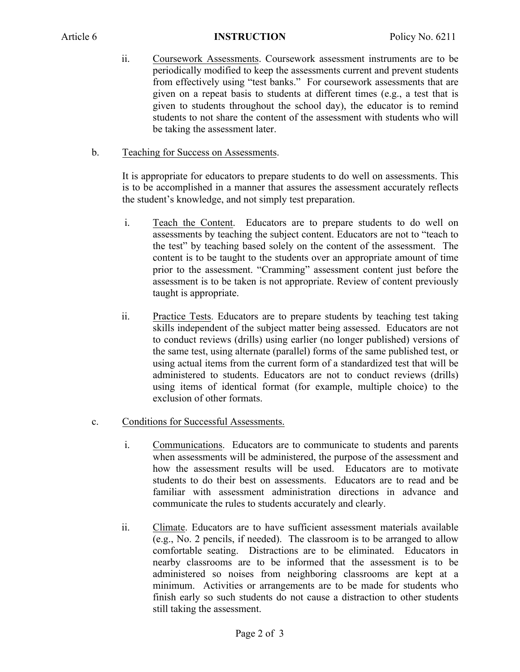- ii. Coursework Assessments. Coursework assessment instruments are to be periodically modified to keep the assessments current and prevent students from effectively using "test banks." For coursework assessments that are given on a repeat basis to students at different times (e.g., a test that is given to students throughout the school day), the educator is to remind students to not share the content of the assessment with students who will be taking the assessment later.
- b. Teaching for Success on Assessments.

It is appropriate for educators to prepare students to do well on assessments. This is to be accomplished in a manner that assures the assessment accurately reflects the student's knowledge, and not simply test preparation.

- i. Teach the Content. Educators are to prepare students to do well on assessments by teaching the subject content. Educators are not to "teach to the test" by teaching based solely on the content of the assessment. The content is to be taught to the students over an appropriate amount of time prior to the assessment. "Cramming" assessment content just before the assessment is to be taken is not appropriate. Review of content previously taught is appropriate.
- ii. Practice Tests. Educators are to prepare students by teaching test taking skills independent of the subject matter being assessed. Educators are not to conduct reviews (drills) using earlier (no longer published) versions of the same test, using alternate (parallel) forms of the same published test, or using actual items from the current form of a standardized test that will be administered to students. Educators are not to conduct reviews (drills) using items of identical format (for example, multiple choice) to the exclusion of other formats.
- c. Conditions for Successful Assessments.
	- i. Communications. Educators are to communicate to students and parents when assessments will be administered, the purpose of the assessment and how the assessment results will be used. Educators are to motivate students to do their best on assessments. Educators are to read and be familiar with assessment administration directions in advance and communicate the rules to students accurately and clearly.
	- ii. Climate. Educators are to have sufficient assessment materials available (e.g., No. 2 pencils, if needed). The classroom is to be arranged to allow comfortable seating. Distractions are to be eliminated. Educators in nearby classrooms are to be informed that the assessment is to be administered so noises from neighboring classrooms are kept at a minimum. Activities or arrangements are to be made for students who finish early so such students do not cause a distraction to other students still taking the assessment.